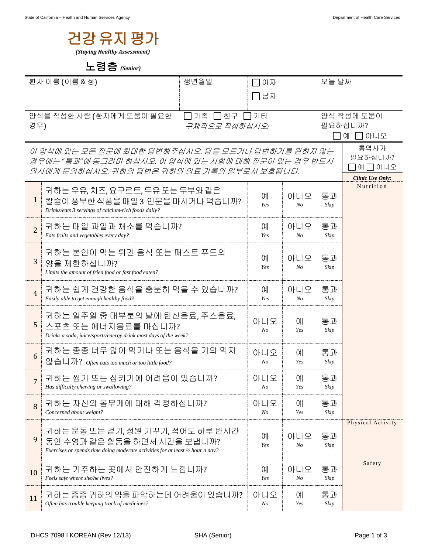

## 노령층 *(Senior)*

| 환자 이름 (이름 & 성)                                                     |                                                                                                                                                         | 생년월일<br>여자     |                       |                   | 오늘 날짜                                                 |                                    |
|--------------------------------------------------------------------|---------------------------------------------------------------------------------------------------------------------------------------------------------|----------------|-----------------------|-------------------|-------------------------------------------------------|------------------------------------|
|                                                                    |                                                                                                                                                         |                | □남자                   |                   |                                                       |                                    |
| 양식을 작성한 사람 (환자에게 도움이 필요한<br>││가족 ││친구 ││기타<br>경우)<br>구체적으로 작성하십시오: |                                                                                                                                                         |                |                       |                   |                                                       | 양식 작성에 도움이<br>필요하십니까?<br>□아니오<br>예 |
|                                                                    | 이 양식에 있는 모든 질문에 최대한 답변해주십시오. 답을 모르거나 답변하기를 원하지 않는<br>경우에는 "통과"에 동그라미 하십시오. 이 양식에 있는 사항에 대해 질문이 있는 경우 반드시<br>의사에게 문의하십시오. 귀하의 답변은 귀하의 의료 기록의 일부로서 보호됩니다. |                |                       |                   | 통역사가<br>필요하십니까?<br>예 囗 아니오<br><b>Clinic Use Only:</b> |                                    |
| $\mathbf{1}$                                                       | 귀하는 우유, 치즈, 요구르트, 두유 또는 두부와 같은<br>칼슘이 풍부한 식품을 매일 3 인분을 마시거나 먹습니까?<br>Drinks/eats 3 servings of calcium-rich foods daily?                                |                | 예<br>Yes              | 아니오<br>No         | 통과<br>Skip                                            | Nutrition                          |
| $\overline{2}$                                                     | 귀하는 매일 과일과 채소를 먹습니까?<br>Eats fruits and vegetables every day?                                                                                           | 예<br>Yes       | 아니오<br>No             | 통과<br>Skip        |                                                       |                                    |
| $\mathfrak{Z}$                                                     | 귀하는 본인이 먹는 튀긴 음식 또는 패스트 푸드의<br>양을 제한하십니까?<br>Limits the amount of fried food or fast food eaten?                                                        | 예<br>Yes       | 아니오<br>No             | 통과<br>Skip        |                                                       |                                    |
| $\overline{4}$                                                     | 귀하는 쉽게 건강한 음식을 충분히 먹을 수 있습니까?<br>Easily able to get enough healthy food?                                                                                | 예<br>Yes       | 아니오<br>No             | 통과<br>Skip        |                                                       |                                    |
| 5                                                                  | 귀하는 일주일 중 대부분의 날에 탄산음료, 주스음료,<br>스포츠 또는 에너지음료를 마십니까?<br>Drinks a soda, juice/sports/energy drink most days of the week?                                 | 아니오<br>$N_{O}$ | 예<br>Yes              | 통과<br>Skip        |                                                       |                                    |
| 6                                                                  | 귀하는 종종 너무 많이 먹거나 또는 음식을 거의 먹지<br>않습니까? Often eats too much or too little food?                                                                          | 아니오<br>$N_{O}$ | 예<br>Yes              | 통과<br>Skip        |                                                       |                                    |
| $\overline{7}$                                                     | 귀하는 씹기 또는 삼키기에 어려움이 있습니까?<br>Has difficulty chewing or swallowing?                                                                                      | 아니오<br>No      | 예<br>Yes              | 통과<br>Skip        |                                                       |                                    |
| 8                                                                  | 귀하는 자신의 몸무게에 대해 걱정하십니까?<br>Concerned about weight?                                                                                                      |                | 아니오<br>N <sub>O</sub> | <b>CHI</b><br>Yes | 통과<br>Skip                                            |                                    |
| 9                                                                  | 귀하는 운동 또는 걷기, 정원 가꾸기, 적어도 하루 반시간<br>동안 수영과 같은 활동을 하면서 시간을 보냅니까?<br>Exercises or spends time doing moderate activities for at least 1/2 hour a day?      |                | 예<br>Yes              | 아니오<br>No         | 통과<br>Skip                                            | Physical Activity                  |
| 10                                                                 | 귀하는 거주하는 곳에서 안전하게 느낍니까?<br>Feels safe where she/he lives?                                                                                               |                | 예<br>Yes              | 아니오<br>No         | 통과<br>Skip                                            | Safety                             |
| 11                                                                 | 귀하는 종종 귀하의 약을 파악하는데 어려움이 있습니까?<br>Often has trouble keeping track of medicines?                                                                         |                | 아니오<br>No             | 예<br>Yes          | 통과<br>Skip                                            |                                    |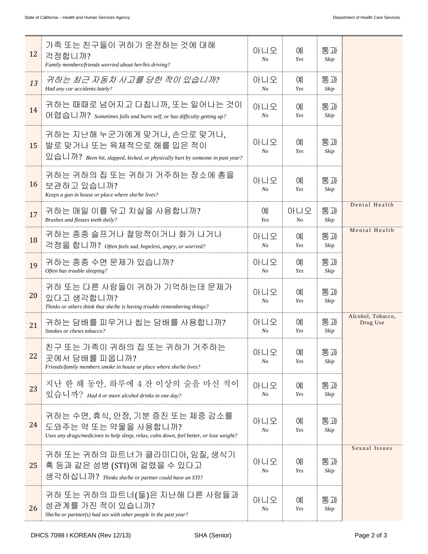| 12 | 가족 또는 친구들이 귀하가 운전하는 것에 대해<br>걱정합니까?<br>Family members/friends worried about her/his driving?                                                                     | 아니오<br>N <sub>O</sub> | 예<br>Yes       | 통과<br>Skip |                               |
|----|------------------------------------------------------------------------------------------------------------------------------------------------------------------|-----------------------|----------------|------------|-------------------------------|
| 13 | 귀하는 최근 자동차 사고를 당한 적이 있습니까?<br>Had any car accidents lately?                                                                                                      | 아니오<br>N <sub>O</sub> | 예<br>Yes       | 통과<br>Skip |                               |
| 14 | 귀하는 때때로 넘어지고 다칩니까, 또는 일어나는 것이<br>어렵습니까? Sometimes falls and hurts self, or has difficulty getting up?                                                            |                       | ΟH<br>Yes      | 통과<br>Skip |                               |
| 15 | 귀하는 지난해 누군가에게 맞거나, 손으로 맞거나,<br>발로 맞거나 또는 육체적으로 해를 입은 적이<br>$\mathfrak{A} \oplus \Box$ ) ? Been hit, slapped, kicked, or physically hurt by someone in past year? | 아니오<br>No             | 예<br>Yes       | 통과<br>Skip |                               |
| 16 | 귀하는 귀하의 집 또는 귀하가 거주하는 장소에 총을<br>보관하고 있습니까?<br>Keeps a gun in house or place where she/he lives?                                                                  | 아니오<br>N <sub>O</sub> | 예<br>Yes       | 통과<br>Skip |                               |
| 17 | 귀하는 매일 이를 닦고 치실을 사용합니까?<br>Brushes and flosses teeth daily?                                                                                                      | 예<br>Yes              | 아니오<br>$N_{O}$ | 통과<br>Skip | Dental Health                 |
| 18 | 귀하는 종종 슬프거나 절망적이거나 화가 나거나<br>걱정을 합니까? Often feels sad, hopeless, angry, or worried?                                                                              | 아니오<br>N <sub>O</sub> | ΟH<br>Yes      | 통과<br>Skip | Mental Health                 |
| 19 | 귀하는 종종 수면 문제가 있습니까?<br>Often has trouble sleeping?                                                                                                               | 아니오<br>N <sub>O</sub> | ΟH<br>Yes      | 통과<br>Skip |                               |
| 20 | 귀하 또는 다른 사람들이 귀하가 기억하는데 문제가<br>있다고 생각합니까?<br>Thinks or others think that she/he is having trouble remembering things?                                            | 아니오<br>No             | 예<br>Yes       | 통과<br>Skip |                               |
| 21 | 귀하는 담배를 피우거나 씹는 담배를 사용합니까?<br>Smokes or chews tobacco?                                                                                                           | 아니오<br>N <sub>O</sub> | 예<br>Yes       | 통과<br>Skip | Alcohol, Tobacco,<br>Drug Use |
| 22 | 친구 또는 가족이 귀하의 집 또는 귀하가 거주하는<br>곳에서 담배를 피웁니까?<br>Friends/family members smoke in house or place where she/he lives?                                               | 아니오<br>N <sub>O</sub> | 예<br>Yes       | 통과<br>Skip |                               |
| 23 | 지난 한 해 동안, 하루에 4 잔 이상의 술을 마신 적이<br>있습니까? Had 4 or more alcohol drinks in one day?                                                                                | 아니오<br>N <sub>O</sub> | 예<br>Yes       | 통과<br>Skip |                               |
| 24 | 귀하는 수면, 휴식, 안정, 기분 증진 또는 체중 감소를<br>도와주는 약 또는 약물을 사용합니까?<br>Uses any drugs/medicines to help sleep, relax, calm down, feel better, or lose weight?                | 아니오<br>N <sub>O</sub> | ΟH<br>Yes      | 통과<br>Skip |                               |
| 25 | 귀하 또는 귀하의 파트너가 클라미디아, 임질, 생식기<br>혹 등과 같은 성병 (STI)에 걸렸을 수 있다고<br>생각하십니까? Thinks she/he or partner could have an STI?                                              | 아니오<br>N <sub>O</sub> | 예<br>Yes       | 통과<br>Skip | Sexual Issues                 |
| 26 | 귀하 또는 귀하의 파트너(들)은 지난해 다른 사람들과<br>성관계를 가진 적이 있습니까?<br>She/he or partner(s) had sex with other people in the past year?                                            | 아니오<br>No             | 예<br>Yes       | 통과<br>Skip |                               |